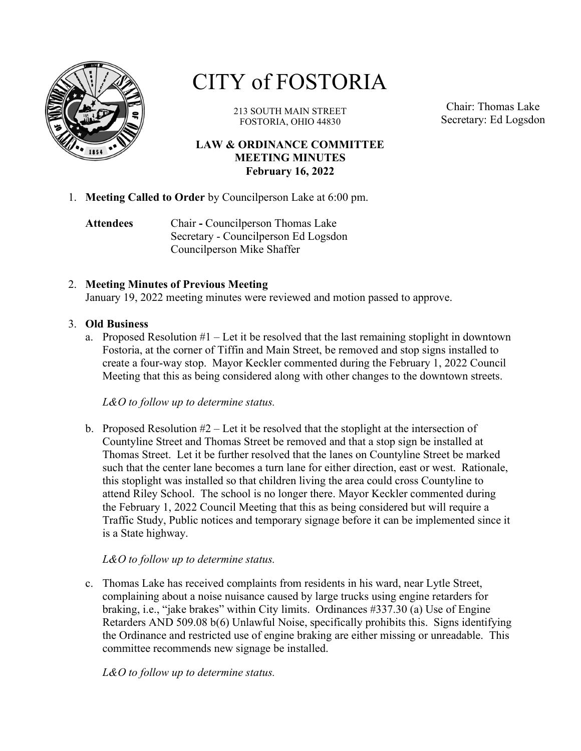

# CITY of FOSTORIA

213 SOUTH MAIN STREET FOSTORIA, OHIO 44830

Chair: Thomas Lake Secretary: Ed Logsdon

## LAW & ORDINANCE COMMITTEE MEETING MINUTES February 16, 2022

1. Meeting Called to Order by Councilperson Lake at 6:00 pm.

Attendees Chair - Councilperson Thomas Lake Secretary - Councilperson Ed Logsdon Councilperson Mike Shaffer

## 2. Meeting Minutes of Previous Meeting

January 19, 2022 meeting minutes were reviewed and motion passed to approve.

#### 3. Old Business

a. Proposed Resolution  $#1$  – Let it be resolved that the last remaining stoplight in downtown Fostoria, at the corner of Tiffin and Main Street, be removed and stop signs installed to create a four-way stop. Mayor Keckler commented during the February 1, 2022 Council Meeting that this as being considered along with other changes to the downtown streets.

L&O to follow up to determine status.

b. Proposed Resolution  $#2$  – Let it be resolved that the stoplight at the intersection of Countyline Street and Thomas Street be removed and that a stop sign be installed at Thomas Street. Let it be further resolved that the lanes on Countyline Street be marked such that the center lane becomes a turn lane for either direction, east or west. Rationale, this stoplight was installed so that children living the area could cross Countyline to attend Riley School. The school is no longer there. Mayor Keckler commented during the February 1, 2022 Council Meeting that this as being considered but will require a Traffic Study, Public notices and temporary signage before it can be implemented since it is a State highway.

### L&O to follow up to determine status.

c. Thomas Lake has received complaints from residents in his ward, near Lytle Street, complaining about a noise nuisance caused by large trucks using engine retarders for braking, i.e., "jake brakes" within City limits. Ordinances #337.30 (a) Use of Engine Retarders AND 509.08 b(6) Unlawful Noise, specifically prohibits this. Signs identifying the Ordinance and restricted use of engine braking are either missing or unreadable. This committee recommends new signage be installed.

L&O to follow up to determine status.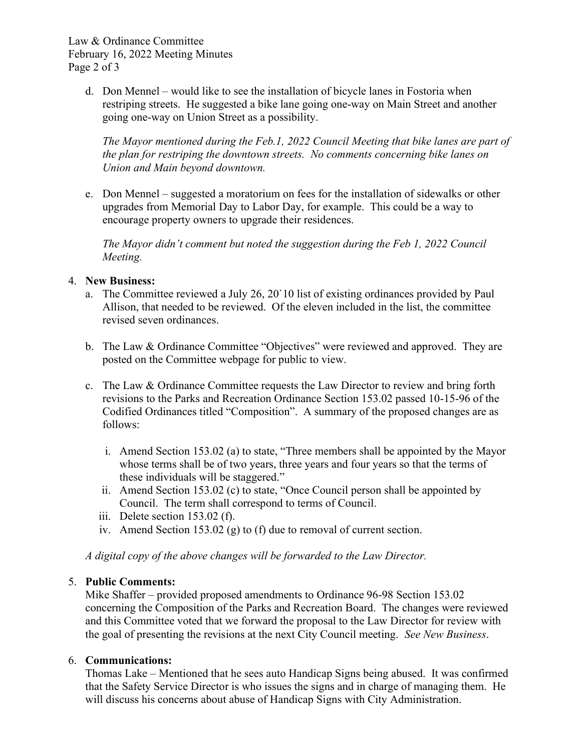Law & Ordinance Committee February 16, 2022 Meeting Minutes Page 2 of 3

> d. Don Mennel – would like to see the installation of bicycle lanes in Fostoria when restriping streets. He suggested a bike lane going one-way on Main Street and another going one-way on Union Street as a possibility.

The Mayor mentioned during the Feb.1, 2022 Council Meeting that bike lanes are part of the plan for restriping the downtown streets. No comments concerning bike lanes on Union and Main beyond downtown.

e. Don Mennel – suggested a moratorium on fees for the installation of sidewalks or other upgrades from Memorial Day to Labor Day, for example. This could be a way to encourage property owners to upgrade their residences.

The Mayor didn't comment but noted the suggestion during the Feb 1, 2022 Council Meeting.

## 4. New Business:

- a. The Committee reviewed a July 26, 20`10 list of existing ordinances provided by Paul Allison, that needed to be reviewed. Of the eleven included in the list, the committee revised seven ordinances.
- b. The Law & Ordinance Committee "Objectives" were reviewed and approved. They are posted on the Committee webpage for public to view.
- c. The Law & Ordinance Committee requests the Law Director to review and bring forth revisions to the Parks and Recreation Ordinance Section 153.02 passed 10-15-96 of the Codified Ordinances titled "Composition". A summary of the proposed changes are as follows:
	- i. Amend Section 153.02 (a) to state, "Three members shall be appointed by the Mayor whose terms shall be of two years, three years and four years so that the terms of these individuals will be staggered."
	- ii. Amend Section 153.02 (c) to state, "Once Council person shall be appointed by Council. The term shall correspond to terms of Council.
	- iii. Delete section 153.02 (f).
	- iv. Amend Section 153.02 (g) to (f) due to removal of current section.

A digital copy of the above changes will be forwarded to the Law Director.

### 5. Public Comments:

Mike Shaffer – provided proposed amendments to Ordinance 96-98 Section 153.02 concerning the Composition of the Parks and Recreation Board. The changes were reviewed and this Committee voted that we forward the proposal to the Law Director for review with the goal of presenting the revisions at the next City Council meeting. See New Business.

### 6. Communications:

Thomas Lake – Mentioned that he sees auto Handicap Signs being abused. It was confirmed that the Safety Service Director is who issues the signs and in charge of managing them. He will discuss his concerns about abuse of Handicap Signs with City Administration.